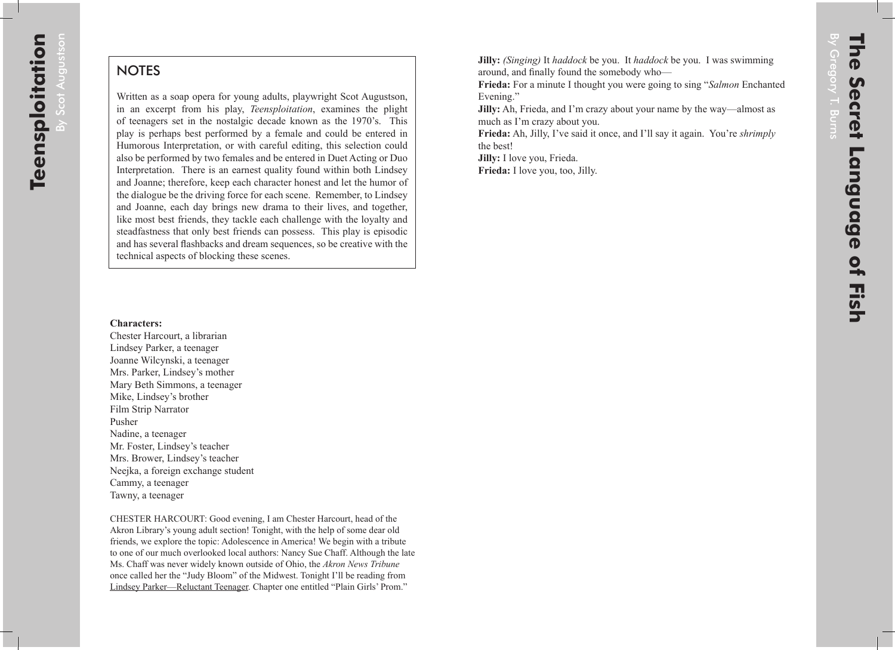$\overline{B}$ 

Scot

Augustson

## **NOTES**

Written as a soap opera for young adults, playwright Scot Augustson, in an excerpt from his play, *Teensploitation*, examines the plight of teenagers set in the nostalgic decade known as the 1970's. This play is perhaps best performed by a female and could be entered in Humorous Interpretation, or with careful editing, this selection could also be performed by two females and be entered in Duet Acting or Duo Interpretation. There is an earnest quality found within both Lindsey and Joanne; therefore, keep each character honest and let the humor of the dialogue be the driving force for each scene. Remember, to Lindsey and Joanne, each day brings new drama to their lives, and together, like most best friends, they tackle each challenge with the loyalty and steadfastness that only best friends can possess. This play is episodic and has several flashbacks and dream sequences, so be creative with the technical aspects of blocking these scenes.

## **Characters:**

Chester Harcourt, a librarian Lindsey Parker, a teenager Joanne Wilcynski, a teenager Mrs. Parker, Lindsey's mother Mary Beth Simmons, a teenager Mike, Lindsey's brother Film Strip Narrator Pusher Nadine, a teenager Mr. Foster, Lindsey's teacher Mrs. Brower, Lindsey's teacher Neejka, a foreign exchange student Cammy, a teenager Tawny, a teenager

CHESTER HARCOURT: Good evening, I am Chester Harcourt, head of the Akron Library's young adult section! Tonight, with the help of some dear old friends, we explore the topic: Adolescence in America! We begin with a tribute to one of our much overlooked local authors: Nancy Sue Chaff. Although the late Ms. Chaff was never widely known outside of Ohio, the *Akron News Tribune* once called her the "Judy Bloom" of the Midwest. Tonight I'll be reading from Lindsey Parker—Reluctant Teenager. Chapter one entitled "Plain Girls' Prom."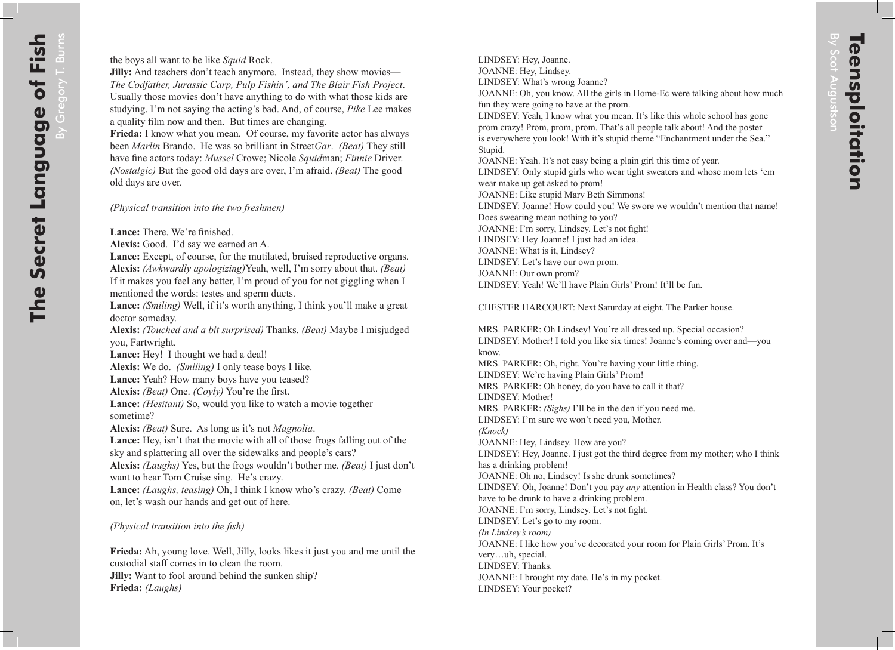LINDSEY: Hey, Joanne. JOANNE: Hey, Lindsey. LINDSEY: What's wrong Joanne? JOANNE: Oh, you know. All the girls in Home-Ec were talking about how much fun they were going to have at the prom. LINDSEY: Yeah, I know what you mean. It's like this whole school has gone prom crazy! Prom, prom, prom. That's all people talk about! And the poster is everywhere you look! With it's stupid theme "Enchantment under the Sea." Stupid. JOANNE: Yeah. It's not easy being a plain girl this time of year. LINDSEY: Only stupid girls who wear tight sweaters and whose mom lets 'em wear make up get asked to prom! JOANNE: Like stupid Mary Beth Simmons! LINDSEY: Joanne! How could you! We swore we wouldn't mention that name! Does swearing mean nothing to you? JOANNE: I'm sorry, Lindsey. Let's not fight! LINDSEY: Hey Joanne! I just had an idea. JOANNE: What is it, Lindsey? LINDSEY: Let's have our own prom. JOANNE: Our own prom? LINDSEY: Yeah! We'll have Plain Girls' Prom! It'll be fun.

CHESTER HARCOURT: Next Saturday at eight. The Parker house.

MRS. PARKER: Oh Lindsey! You're all dressed up. Special occasion? LINDSEY: Mother! I told you like six times! Joanne's coming over and—you know. MRS. PARKER: Oh, right. You're having your little thing. LINDSEY: We're having Plain Girls' Prom! MRS. PARKER: Oh honey, do you have to call it that? LINDSEY: Mother! MRS. PARKER: *(Sighs)* I'll be in the den if you need me. LINDSEY: I'm sure we won't need you, Mother. *(Knock)* JOANNE: Hey, Lindsey. How are you? LINDSEY: Hey, Joanne. I just got the third degree from my mother; who I think has a drinking problem! JOANNE: Oh no, Lindsey! Is she drunk sometimes? LINDSEY: Oh, Joanne! Don't you pay *any* attention in Health class? You don't have to be drunk to have a drinking problem. JOANNE: I'm sorry, Lindsey. Let's not fight. LINDSEY: Let's go to my room. *(In Lindsey's room)* JOANNE: I like how you've decorated your room for Plain Girls' Prom. It's very…uh, special. LINDSEY: Thanks. JOANNE: I brought my date. He's in my pocket. LINDSEY: Your pocket?